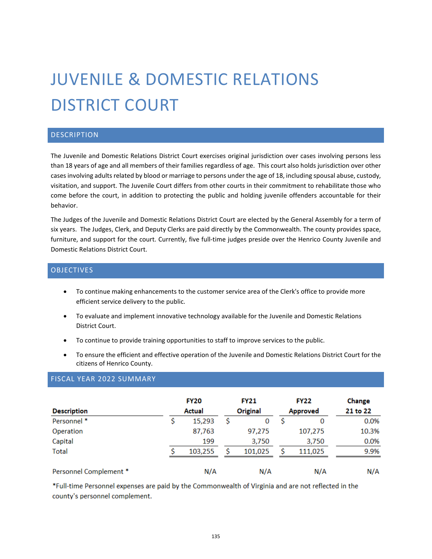# JUVENILE & DOMESTIC RELATIONS DISTRICT COURT

### **DESCRIPTION**

The Juvenile and Domestic Relations District Court exercises original jurisdiction over cases involving persons less than 18 years of age and all members of their families regardless of age. This court also holds jurisdiction over other cases involving adults related by blood or marriage to persons under the age of 18, including spousal abuse, custody, visitation, and support. The Juvenile Court differs from other courts in their commitment to rehabilitate those who come before the court, in addition to protecting the public and holding juvenile offenders accountable for their behavior.

The Judges of the Juvenile and Domestic Relations District Court are elected by the General Assembly for a term of six years. The Judges, Clerk, and Deputy Clerks are paid directly by the Commonwealth. The county provides space, furniture, and support for the court. Currently, five full-time judges preside over the Henrico County Juvenile and Domestic Relations District Court.

#### **OBJECTIVES**

- To continue making enhancements to the customer service area of the Clerk's office to provide more efficient service delivery to the public.
- To evaluate and implement innovative technology available for the Juvenile and Domestic Relations District Court.
- To continue to provide training opportunities to staff to improve services to the public.
- To ensure the efficient and effective operation of the Juvenile and Domestic Relations District Court for the citizens of Henrico County.

### FISCAL YEAR 2022 SUMMARY

| <b>Description</b>     | <b>FY20</b><br><b>Actual</b> | <b>FY21</b><br><b>Original</b> | <b>FY22</b><br><b>Approved</b> | Change<br>21 to 22 |
|------------------------|------------------------------|--------------------------------|--------------------------------|--------------------|
| Personnel *            | 15,293                       | \$<br>0                        | 0                              | 0.0%               |
| Operation              | 87,763                       | 97,275                         | 107,275                        | 10.3%              |
| Capital                | 199                          | 3,750                          | 3,750                          | 0.0%               |
| <b>Total</b>           | 103,255                      | 101,025                        | 111,025                        | 9.9%               |
| Personnel Complement * | N/A                          | N/A                            | N/A                            | N/A                |

\*Full-time Personnel expenses are paid by the Commonwealth of Virginia and are not reflected in the county's personnel complement.